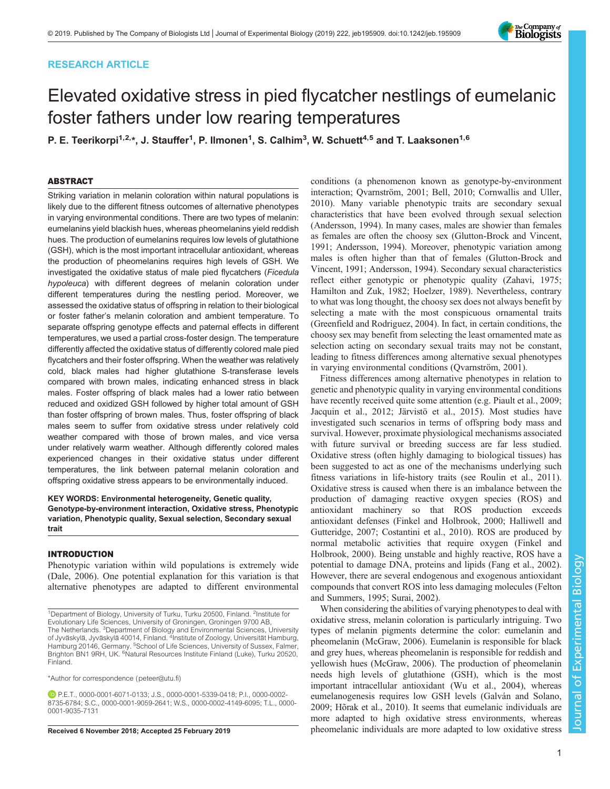# RESEARCH ARTICLE



# Elevated oxidative stress in pied flycatcher nestlings of eumelanic foster fathers under low rearing temperatures

P. E. Teerikorpi<sup>1,2,</sup>\*, J. Stauffer<sup>1</sup>, P. Ilmonen<sup>1</sup>, S. Calhim<sup>3</sup>, W. Schuett<sup>4,5</sup> and T. Laaksonen<sup>1,6</sup>

# ABSTRACT

Striking variation in melanin coloration within natural populations is likely due to the different fitness outcomes of alternative phenotypes in varying environmental conditions. There are two types of melanin: eumelanins yield blackish hues, whereas pheomelanins yield reddish hues. The production of eumelanins requires low levels of glutathione (GSH), which is the most important intracellular antioxidant, whereas the production of pheomelanins requires high levels of GSH. We investigated the oxidative status of male pied flycatchers (Ficedula hypoleuca) with different degrees of melanin coloration under different temperatures during the nestling period. Moreover, we assessed the oxidative status of offspring in relation to their biological or foster father's melanin coloration and ambient temperature. To separate offspring genotype effects and paternal effects in different temperatures, we used a partial cross-foster design. The temperature differently affected the oxidative status of differently colored male pied flycatchers and their foster offspring. When the weather was relatively cold, black males had higher glutathione S-transferase levels compared with brown males, indicating enhanced stress in black males. Foster offspring of black males had a lower ratio between reduced and oxidized GSH followed by higher total amount of GSH than foster offspring of brown males. Thus, foster offspring of black males seem to suffer from oxidative stress under relatively cold weather compared with those of brown males, and vice versa under relatively warm weather. Although differently colored males experienced changes in their oxidative status under different temperatures, the link between paternal melanin coloration and offspring oxidative stress appears to be environmentally induced.

## KEY WORDS: Environmental heterogeneity, Genetic quality, Genotype-by-environment interaction, Oxidative stress, Phenotypic variation, Phenotypic quality, Sexual selection, Secondary sexual trait

## INTRODUCTION

Phenotypic variation within wild populations is extremely wide [\(Dale, 2006](#page-6-0)). One potential explanation for this variation is that alternative phenotypes are adapted to different environmental

\*Author for correspondence [\(peteer@utu.fi\)](mailto:peteer@utu.fi)

P.E.T., [0000-0001-6071-0133](http://orcid.org/0000-0001-6071-0133); J.S., [0000-0001-5339-0418](http://orcid.org/0000-0001-5339-0418); P.I., [0000-0002-](http://orcid.org/0000-0002-8735-6784) [8735-6784](http://orcid.org/0000-0002-8735-6784); S.C., [0000-0001-9059-2641;](http://orcid.org/0000-0001-9059-2641) W.S., [0000-0002-4149-6095](http://orcid.org/0000-0002-4149-6095); T.L., [0000-](http://orcid.org/0000-0001-9035-7131) [0001-9035-7131](http://orcid.org/0000-0001-9035-7131)

conditions (a phenomenon known as genotype-by-environment interaction; [Qvarnström, 2001; Bell, 2010](#page-6-0); [Cornwallis and Uller,](#page-6-0) [2010\)](#page-6-0). Many variable phenotypic traits are secondary sexual characteristics that have been evolved through sexual selection [\(Andersson, 1994](#page-6-0)). In many cases, males are showier than females as females are often the choosy sex ([Glutton-Brock and Vincent,](#page-6-0) [1991; Andersson, 1994](#page-6-0)). Moreover, phenotypic variation among males is often higher than that of females ([Glutton-Brock and](#page-6-0) [Vincent, 1991; Andersson, 1994\)](#page-6-0). Secondary sexual characteristics reflect either genotypic or phenotypic quality [\(Zahavi, 1975](#page-7-0); [Hamilton and Zuk, 1982; Hoelzer, 1989\)](#page-6-0). Nevertheless, contrary to what was long thought, the choosy sex does not always benefit by selecting a mate with the most conspicuous ornamental traits [\(Greenfield and Rodriguez, 2004\)](#page-6-0). In fact, in certain conditions, the choosy sex may benefit from selecting the least ornamented mate as selection acting on secondary sexual traits may not be constant, leading to fitness differences among alternative sexual phenotypes in varying environmental conditions [\(Qvarnström, 2001](#page-6-0)).

Fitness differences among alternative phenotypes in relation to genetic and phenotypic quality in varying environmental conditions have recently received quite some attention (e.g. [Piault et al., 2009](#page-6-0); [Jacquin et al., 2012; Järvistö et al., 2015](#page-6-0)). Most studies have investigated such scenarios in terms of offspring body mass and survival. However, proximate physiological mechanisms associated with future survival or breeding success are far less studied. Oxidative stress (often highly damaging to biological tissues) has been suggested to act as one of the mechanisms underlying such fitness variations in life-history traits (see [Roulin et al., 2011\)](#page-7-0). Oxidative stress is caused when there is an imbalance between the production of damaging reactive oxygen species (ROS) and antioxidant machinery so that ROS production exceeds antioxidant defenses ([Finkel and Holbrook, 2000; Halliwell and](#page-6-0) [Gutteridge, 2007](#page-6-0); [Costantini et al., 2010\)](#page-6-0). ROS are produced by normal metabolic activities that require oxygen ([Finkel and](#page-6-0) [Holbrook, 2000](#page-6-0)). Being unstable and highly reactive, ROS have a potential to damage DNA, proteins and lipids [\(Fang et al., 2002\)](#page-6-0). However, there are several endogenous and exogenous antioxidant compounds that convert ROS into less damaging molecules [\(Felton](#page-6-0) [and Summers, 1995;](#page-6-0) [Surai, 2002\)](#page-7-0).

When considering the abilities of varying phenotypes to deal with oxidative stress, melanin coloration is particularly intriguing. Two types of melanin pigments determine the color: eumelanin and pheomelanin ([McGraw, 2006\)](#page-6-0). Eumelanin is responsible for black and grey hues, whereas pheomelanin is responsible for reddish and yellowish hues [\(McGraw, 2006](#page-6-0)). The production of pheomelanin needs high levels of glutathione (GSH), which is the most important intracellular antioxidant [\(Wu et al., 2004\)](#page-7-0), whereas eumelanogenesis requires low GSH levels ([Galván and Solano,](#page-6-0) [2009; Hõrak et al., 2010](#page-6-0)). It seems that eumelanic individuals are more adapted to high oxidative stress environments, whereas Received 6 November 2018; Accepted 25 February 2019 pheomelanic individuals are more adapted to low oxidative stress

<sup>&</sup>lt;sup>1</sup>Department of Biology, University of Turku, Turku 20500, Finland. <sup>2</sup>Institute for Evolutionary Life Sciences, University of Groningen, Groningen 9700 AB, The Netherlands. <sup>3</sup>Department of Biology and Environmental Sciences, University<br>of Jyväskylä, Jyväskylä 40014, Finland. <sup>4</sup>Institute of Zoology, Universität Hamburg, Hamburg 20146, Germany. <sup>5</sup>School of Life Sciences, University of Sussex, Falmer, Brighton BN1 9RH, UK. <sup>6</sup>Natural Resources Institute Finland (Luke), Turku 20520, Finland.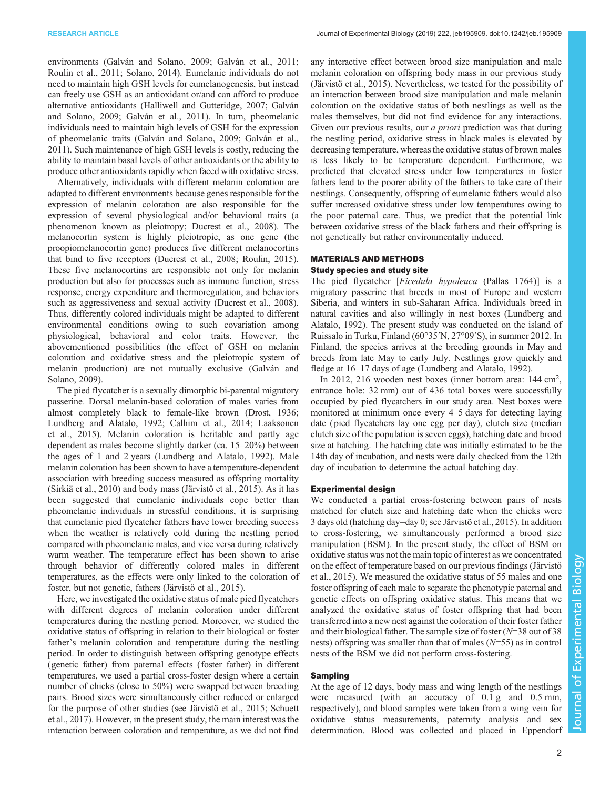environments [\(Galván and Solano, 2009; Galván et al., 2011](#page-6-0); [Roulin et al., 2011; Solano, 2014\)](#page-7-0). Eumelanic individuals do not need to maintain high GSH levels for eumelanogenesis, but instead can freely use GSH as an antioxidant or/and can afford to produce alternative antioxidants [\(Halliwell and Gutteridge, 2007](#page-6-0); [Galván](#page-6-0) [and Solano, 2009](#page-6-0); [Galván et al., 2011](#page-6-0)). In turn, pheomelanic individuals need to maintain high levels of GSH for the expression of pheomelanic traits [\(Galván and Solano, 2009](#page-6-0); [Galván et al.,](#page-6-0) [2011](#page-6-0)). Such maintenance of high GSH levels is costly, reducing the ability to maintain basal levels of other antioxidants or the ability to produce other antioxidants rapidly when faced with oxidative stress.

Alternatively, individuals with different melanin coloration are adapted to different environments because genes responsible for the expression of melanin coloration are also responsible for the expression of several physiological and/or behavioral traits (a phenomenon known as pleiotropy; [Ducrest et al., 2008\)](#page-6-0). The melanocortin system is highly pleiotropic, as one gene (the proopiomelanocortin gene) produces five different melanocortins that bind to five receptors [\(Ducrest et al., 2008;](#page-6-0) [Roulin, 2015\)](#page-7-0). These five melanocortins are responsible not only for melanin production but also for processes such as immune function, stress response, energy expenditure and thermoregulation, and behaviors such as aggressiveness and sexual activity [\(Ducrest et al., 2008\)](#page-6-0). Thus, differently colored individuals might be adapted to different environmental conditions owing to such covariation among physiological, behavioral and color traits. However, the abovementioned possibilities (the effect of GSH on melanin coloration and oxidative stress and the pleiotropic system of melanin production) are not mutually exclusive [\(Galván and](#page-6-0) [Solano, 2009](#page-6-0)).

The pied flycatcher is a sexually dimorphic bi-parental migratory passerine. Dorsal melanin-based coloration of males varies from almost completely black to female-like brown [\(Drost, 1936](#page-6-0); [Lundberg and Alatalo, 1992; Calhim et al., 2014](#page-6-0); [Laaksonen](#page-6-0) [et al., 2015\)](#page-6-0). Melanin coloration is heritable and partly age dependent as males become slightly darker (ca. 15–20%) between the ages of 1 and 2 years [\(Lundberg and Alatalo, 1992\)](#page-6-0). Male melanin coloration has been shown to have a temperature-dependent association with breeding success measured as offspring mortality [\(Sirkiä et al., 2010\)](#page-7-0) and body mass [\(Järvistö et al., 2015\)](#page-6-0). As it has been suggested that eumelanic individuals cope better than pheomelanic individuals in stressful conditions, it is surprising that eumelanic pied flycatcher fathers have lower breeding success when the weather is relatively cold during the nestling period compared with pheomelanic males, and vice versa during relatively warm weather. The temperature effect has been shown to arise through behavior of differently colored males in different temperatures, as the effects were only linked to the coloration of foster, but not genetic, fathers ([Järvistö et al., 2015](#page-6-0)).

Here, we investigated the oxidative status of male pied flycatchers with different degrees of melanin coloration under different temperatures during the nestling period. Moreover, we studied the oxidative status of offspring in relation to their biological or foster father's melanin coloration and temperature during the nestling period. In order to distinguish between offspring genotype effects (genetic father) from paternal effects (foster father) in different temperatures, we used a partial cross-foster design where a certain number of chicks (close to 50%) were swapped between breeding pairs. Brood sizes were simultaneously either reduced or enlarged for the purpose of other studies (see [Järvistö et al., 2015](#page-6-0); [Schuett](#page-7-0) [et al., 2017\)](#page-7-0). However, in the present study, the main interest was the interaction between coloration and temperature, as we did not find

any interactive effect between brood size manipulation and male melanin coloration on offspring body mass in our previous study [\(Järvistö et al., 2015\)](#page-6-0). Nevertheless, we tested for the possibility of an interaction between brood size manipulation and male melanin coloration on the oxidative status of both nestlings as well as the males themselves, but did not find evidence for any interactions. Given our previous results, our *a priori* prediction was that during the nestling period, oxidative stress in black males is elevated by decreasing temperature, whereas the oxidative status of brown males is less likely to be temperature dependent. Furthermore, we predicted that elevated stress under low temperatures in foster fathers lead to the poorer ability of the fathers to take care of their nestlings. Consequently, offspring of eumelanic fathers would also suffer increased oxidative stress under low temperatures owing to the poor paternal care. Thus, we predict that the potential link between oxidative stress of the black fathers and their offspring is not genetically but rather environmentally induced.

## MATERIALS AND METHODS Study species and study site

The pied flycatcher [Ficedula hypoleuca (Pallas 1764)] is a migratory passerine that breeds in most of Europe and western Siberia, and winters in sub-Saharan Africa. Individuals breed in natural cavities and also willingly in nest boxes [\(Lundberg and](#page-6-0) [Alatalo, 1992\)](#page-6-0). The present study was conducted on the island of Ruissalo in Turku, Finland (60°35′N, 27°09′S), in summer 2012. In Finland, the species arrives at the breeding grounds in May and breeds from late May to early July. Nestlings grow quickly and fledge at 16–17 days of age [\(Lundberg and Alatalo, 1992\)](#page-6-0).

In 2012, 216 wooden nest boxes (inner bottom area: 144 cm<sup>2</sup>, entrance hole: 32 mm) out of 436 total boxes were successfully occupied by pied flycatchers in our study area. Nest boxes were monitored at minimum once every 4–5 days for detecting laying date ( pied flycatchers lay one egg per day), clutch size (median clutch size of the population is seven eggs), hatching date and brood size at hatching. The hatching date was initially estimated to be the 14th day of incubation, and nests were daily checked from the 12th day of incubation to determine the actual hatching day.

## Experimental design

We conducted a partial cross-fostering between pairs of nests matched for clutch size and hatching date when the chicks were 3 days old (hatching day=day 0; see [Järvistö et al., 2015](#page-6-0)). In addition to cross-fostering, we simultaneously performed a brood size manipulation (BSM). In the present study, the effect of BSM on oxidative status was not the main topic of interest as we concentrated on the effect of temperature based on our previous findings ([Järvistö](#page-6-0) [et al., 2015\)](#page-6-0). We measured the oxidative status of 55 males and one foster offspring of each male to separate the phenotypic paternal and genetic effects on offspring oxidative status. This means that we analyzed the oxidative status of foster offspring that had been transferred into a new nest against the coloration of their foster father and their biological father. The sample size of foster  $(N=38)$  out of 38 nests) offspring was smaller than that of males  $(N=55)$  as in control nests of the BSM we did not perform cross-fostering.

# Sampling

At the age of 12 days, body mass and wing length of the nestlings were measured (with an accuracy of 0.1 g and 0.5 mm, respectively), and blood samples were taken from a wing vein for oxidative status measurements, paternity analysis and sex determination. Blood was collected and placed in Eppendorf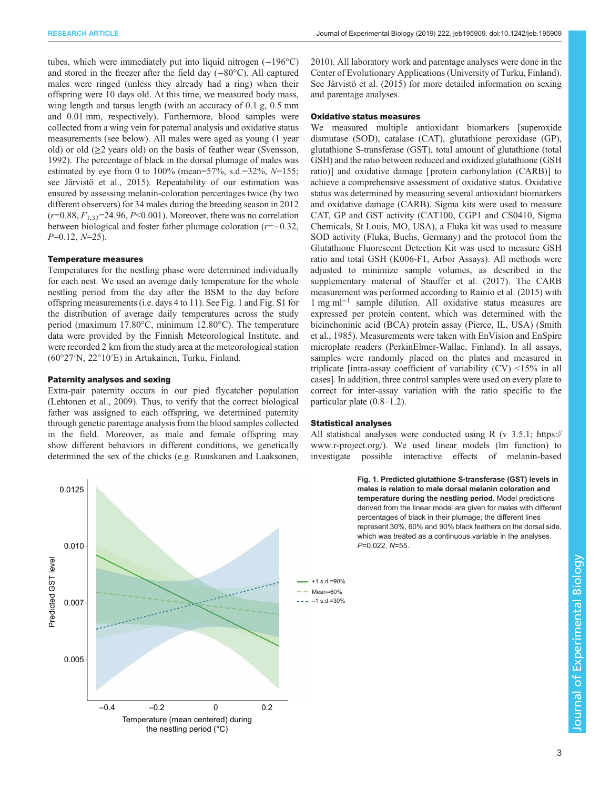<span id="page-2-0"></span>tubes, which were immediately put into liquid nitrogen (−196°C) and stored in the freezer after the field day (−80°C). All captured males were ringed (unless they already had a ring) when their offspring were 10 days old. At this time, we measured body mass, wing length and tarsus length (with an accuracy of 0.1 g, 0.5 mm and 0.01 mm, respectively). Furthermore, blood samples were collected from a wing vein for paternal analysis and oxidative status measurements (see below). All males were aged as young (1 year old) or old  $(\geq 2$  years old) on the basis of feather wear [\(Svensson,](#page-7-0) [1992](#page-7-0)). The percentage of black in the dorsal plumage of males was estimated by eye from 0 to 100% (mean=57%, s.d.=32%,  $N=155$ ; see [Järvistö et al., 2015](#page-6-0)). Repeatability of our estimation was ensured by assessing melanin-coloration percentages twice (by two different observers) for 34 males during the breeding season in 2012  $(r=0.88, F_{1,33}=24.96, P<0.001)$ . Moreover, there was no correlation between biological and foster father plumage coloration (r=−0.32,  $P=0.12, N=25$ ).

## Temperature measures

Temperatures for the nestling phase were determined individually for each nest. We used an average daily temperature for the whole nestling period from the day after the BSM to the day before offspring measurements (i.e. days 4 to 11). See Fig. 1 and [Fig. S1](http://jeb.biologists.org/lookup/doi/10.1242/jeb.195909.supplemental) for the distribution of average daily temperatures across the study period (maximum 17.80°C, minimum 12.80°C). The temperature data were provided by the Finnish Meteorological Institute, and were recorded 2 km from the study area at the meteorological station (60°27′N, 22°10′E) in Artukainen, Turku, Finland.

## Paternity analyses and sexing

Extra-pair paternity occurs in our pied flycatcher population [\(Lehtonen et al., 2009](#page-6-0)). Thus, to verify that the correct biological father was assigned to each offspring, we determined paternity through genetic parentage analysis from the blood samples collected in the field. Moreover, as male and female offspring may show different behaviors in different conditions, we genetically determined the sex of the chicks (e.g. [Ruuskanen and Laaksonen,](#page-7-0)



[2010\)](#page-7-0). All laboratory work and parentage analyses were done in the Center of Evolutionary Applications (University of Turku, Finland). See [Järvistö et al. \(2015\)](#page-6-0) for more detailed information on sexing and parentage analyses.

# Oxidative status measures

We measured multiple antioxidant biomarkers [superoxide] dismutase (SOD), catalase (CAT), glutathione peroxidase (GP), glutathione S-transferase (GST), total amount of glutathione (total GSH) and the ratio between reduced and oxidized glutathione (GSH ratio)] and oxidative damage [ protein carbonylation (CARB)] to achieve a comprehensive assessment of oxidative status. Oxidative status was determined by measuring several antioxidant biomarkers and oxidative damage (CARB). Sigma kits were used to measure CAT, GP and GST activity (CAT100, CGP1 and CS0410, Sigma Chemicals, St Louis, MO, USA), a Fluka kit was used to measure SOD activity (Fluka, Buchs, Germany) and the protocol from the Glutathione Fluorescent Detection Kit was used to measure GSH ratio and total GSH (K006-F1, Arbor Assays). All methods were adjusted to minimize sample volumes, as described in the supplementary material of [Stauffer et al. \(2017\)](#page-7-0). The CARB measurement was performed according to [Rainio et al. \(2015\)](#page-6-0) with 1 mg ml−<sup>1</sup> sample dilution. All oxidative status measures are expressed per protein content, which was determined with the bicinchoninic acid (BCA) protein assay (Pierce, IL, USA) [\(Smith](#page-7-0) [et al., 1985\)](#page-7-0). Measurements were taken with EnVision and EnSpire microplate readers (PerkinElmer-Wallac, Finland). In all assays, samples were randomly placed on the plates and measured in triplicate [intra-assay coefficient of variability (CV) <15% in all cases]. In addition, three control samples were used on every plate to correct for inter-assay variation with the ratio specific to the particular plate (0.8–1.2).

## Statistical analyses

All statistical analyses were conducted using R (v 3.5.1; [https://](https://www.r-project.org/) [www.r-project.org/](https://www.r-project.org/)). We used linear models (lm function) to investigate possible interactive effects of melanin-based

> Fig. 1. Predicted glutathione S-transferase (GST) levels in males is relation to male dorsal melanin coloration and temperature during the nestling period. Model predictions derived from the linear model are given for males with different percentages of black in their plumage; the different lines represent 30%, 60% and 90% black feathers on the dorsal side, which was treated as a continuous variable in the analyses. P=0.022, N=55.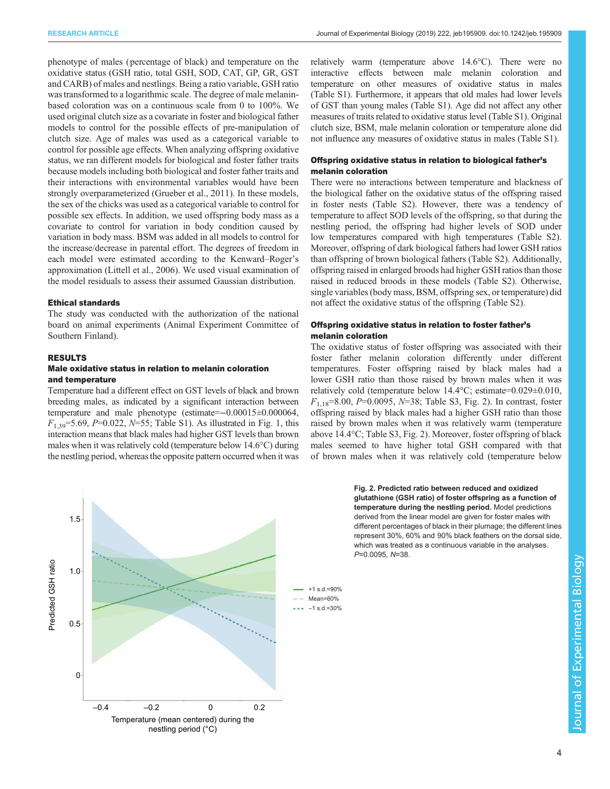RESEARCH ARTICLE **ARTICLE** ARTICLE **Journal of Experimental Biology (2019)** 222, jeb195909. doi:10.1242/jeb.195909

phenotype of males ( percentage of black) and temperature on the oxidative status (GSH ratio, total GSH, SOD, CAT, GP, GR, GST and CARB) of males and nestlings. Being a ratio variable, GSH ratio was transformed to a logarithmic scale. The degree of male melaninbased coloration was on a continuous scale from 0 to 100%. We used original clutch size as a covariate in foster and biological father models to control for the possible effects of pre-manipulation of clutch size. Age of males was used as a categorical variable to control for possible age effects. When analyzing offspring oxidative status, we ran different models for biological and foster father traits because models including both biological and foster father traits and their interactions with environmental variables would have been strongly overparameterized [\(Grueber et al., 2011\)](#page-6-0). In these models, the sex of the chicks was used as a categorical variable to control for possible sex effects. In addition, we used offspring body mass as a covariate to control for variation in body condition caused by variation in body mass. BSM was added in all models to control for the increase/decrease in parental effort. The degrees of freedom in each model were estimated according to the Kenward–Roger's approximation [\(Littell et al., 2006\)](#page-6-0). We used visual examination of the model residuals to assess their assumed Gaussian distribution.

# Ethical standards

The study was conducted with the authorization of the national board on animal experiments (Animal Experiment Committee of Southern Finland).

## RESULTS

# Male oxidative status in relation to melanin coloration and temperature

Temperature had a different effect on GST levels of black and brown breeding males, as indicated by a significant interaction between temperature and male phenotype (estimate=−0.00015±0.000064,  $F_{1,39}$ =5.69, P=0.022, N=55; [Table S1](http://jeb.biologists.org/lookup/doi/10.1242/jeb.195909.supplemental)). As illustrated in [Fig. 1,](#page-2-0) this interaction means that black males had higher GST levels than brown males when it was relatively cold (temperature below 14.6°C) during the nestling period, whereas the opposite pattern occurred when it was



relatively warm (temperature above 14.6°C). There were no interactive effects between male melanin coloration and temperature on other measures of oxidative status in males [\(Table S1\)](http://jeb.biologists.org/lookup/doi/10.1242/jeb.195909.supplemental). Furthermore, it appears that old males had lower levels of GST than young males ([Table S1](http://jeb.biologists.org/lookup/doi/10.1242/jeb.195909.supplemental)). Age did not affect any other measures of traits related to oxidative status level ([Table S1](http://jeb.biologists.org/lookup/doi/10.1242/jeb.195909.supplemental)). Original clutch size, BSM, male melanin coloration or temperature alone did not influence any measures of oxidative status in males ([Table S1\)](http://jeb.biologists.org/lookup/doi/10.1242/jeb.195909.supplemental).

# Offspring oxidative status in relation to biological father's melanin coloration

There were no interactions between temperature and blackness of the biological father on the oxidative status of the offspring raised in foster nests [\(Table S2](http://jeb.biologists.org/lookup/doi/10.1242/jeb.195909.supplemental)). However, there was a tendency of temperature to affect SOD levels of the offspring, so that during the nestling period, the offspring had higher levels of SOD under low temperatures compared with high temperatures ([Table S2\)](http://jeb.biologists.org/lookup/doi/10.1242/jeb.195909.supplemental). Moreover, offspring of dark biological fathers had lower GSH ratios than offspring of brown biological fathers [\(Table S2\)](http://jeb.biologists.org/lookup/doi/10.1242/jeb.195909.supplemental). Additionally, offspring raised in enlarged broods had higher GSH ratios than those raised in reduced broods in these models [\(Table S2\)](http://jeb.biologists.org/lookup/doi/10.1242/jeb.195909.supplemental). Otherwise, single variables (body mass, BSM, offspring sex, or temperature) did not affect the oxidative status of the offspring ([Table S2](http://jeb.biologists.org/lookup/doi/10.1242/jeb.195909.supplemental)).

# Offspring oxidative status in relation to foster father's melanin coloration

The oxidative status of foster offspring was associated with their foster father melanin coloration differently under different temperatures. Foster offspring raised by black males had a lower GSH ratio than those raised by brown males when it was relatively cold (temperature below 14.4°C; estimate=0.029±0.010,  $F_{1,18}=8.00, P=0.0095, N=38$ ; [Table S3](http://jeb.biologists.org/lookup/doi/10.1242/jeb.195909.supplemental), Fig. 2). In contrast, foster offspring raised by black males had a higher GSH ratio than those raised by brown males when it was relatively warm (temperature above 14.4°C; [Table S3,](http://jeb.biologists.org/lookup/doi/10.1242/jeb.195909.supplemental) Fig. 2). Moreover, foster offspring of black males seemed to have higher total GSH compared with that of brown males when it was relatively cold (temperature below

> Fig. 2. Predicted ratio between reduced and oxidized glutathione (GSH ratio) of foster offspring as a function of temperature during the nestling period. Model predictions derived from the linear model are given for foster males with different percentages of black in their plumage; the different lines represent 30%, 60% and 90% black feathers on the dorsal side, which was treated as a continuous variable in the analyses. P=0.0095, N=38.

+1 s.d.=90%  $-1$  s.d.=30% Mean=60%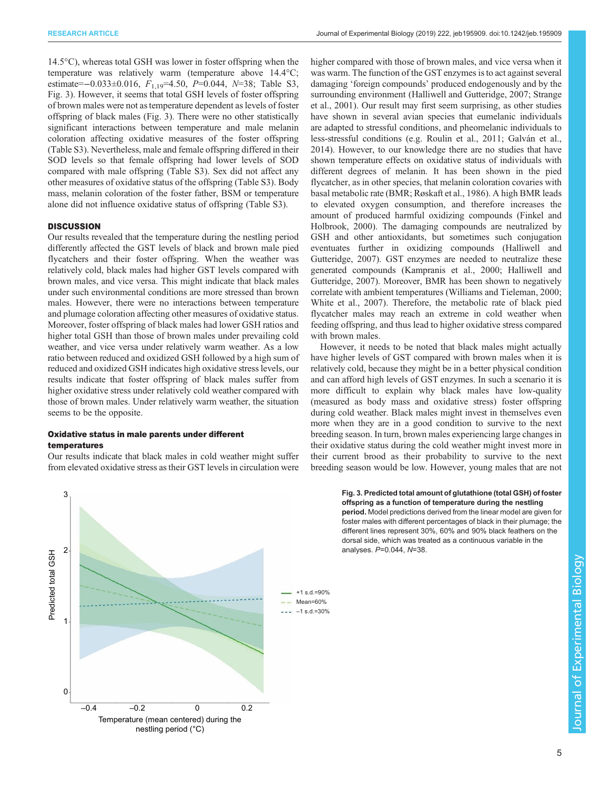14.5°C), whereas total GSH was lower in foster offspring when the temperature was relatively warm (temperature above 14.4°C; estimate=−0.033±0.016,  $F_{1,19}$ =4.50, P=0.044, N=38; [Table S3,](http://jeb.biologists.org/lookup/doi/10.1242/jeb.195909.supplemental) Fig. 3). However, it seems that total GSH levels of foster offspring of brown males were not as temperature dependent as levels of foster offspring of black males (Fig. 3). There were no other statistically significant interactions between temperature and male melanin coloration affecting oxidative measures of the foster offspring [\(Table S3](http://jeb.biologists.org/lookup/doi/10.1242/jeb.195909.supplemental)). Nevertheless, male and female offspring differed in their SOD levels so that female offspring had lower levels of SOD compared with male offspring ([Table S3](http://jeb.biologists.org/lookup/doi/10.1242/jeb.195909.supplemental)). Sex did not affect any other measures of oxidative status of the offspring ([Table S3\)](http://jeb.biologists.org/lookup/doi/10.1242/jeb.195909.supplemental). Body mass, melanin coloration of the foster father, BSM or temperature alone did not influence oxidative status of offspring ([Table S3\)](http://jeb.biologists.org/lookup/doi/10.1242/jeb.195909.supplemental).

# **DISCUSSION**

Our results revealed that the temperature during the nestling period differently affected the GST levels of black and brown male pied flycatchers and their foster offspring. When the weather was relatively cold, black males had higher GST levels compared with brown males, and vice versa. This might indicate that black males under such environmental conditions are more stressed than brown males. However, there were no interactions between temperature and plumage coloration affecting other measures of oxidative status. Moreover, foster offspring of black males had lower GSH ratios and higher total GSH than those of brown males under prevailing cold weather, and vice versa under relatively warm weather. As a low ratio between reduced and oxidized GSH followed by a high sum of reduced and oxidized GSH indicates high oxidative stress levels, our results indicate that foster offspring of black males suffer from higher oxidative stress under relatively cold weather compared with those of brown males. Under relatively warm weather, the situation seems to be the opposite.

# Oxidative status in male parents under different temperatures

Our results indicate that black males in cold weather might suffer from elevated oxidative stress as their GST levels in circulation were higher compared with those of brown males, and vice versa when it was warm. The function of the GST enzymes is to act against several damaging 'foreign compounds' produced endogenously and by the surrounding environment [\(Halliwell and Gutteridge, 2007](#page-6-0); [Strange](#page-7-0) [et al., 2001\)](#page-7-0). Our result may first seem surprising, as other studies have shown in several avian species that eumelanic individuals are adapted to stressful conditions, and pheomelanic individuals to less-stressful conditions (e.g. [Roulin et al., 2011;](#page-7-0) [Galván et al.,](#page-6-0) [2014\)](#page-6-0). However, to our knowledge there are no studies that have shown temperature effects on oxidative status of individuals with different degrees of melanin. It has been shown in the pied flycatcher, as in other species, that melanin coloration covaries with basal metabolic rate (BMR; [Røskaft et al., 1986](#page-6-0)). A high BMR leads to elevated oxygen consumption, and therefore increases the amount of produced harmful oxidizing compounds ([Finkel and](#page-6-0) [Holbrook, 2000\)](#page-6-0). The damaging compounds are neutralized by GSH and other antioxidants, but sometimes such conjugation eventuates further in oxidizing compounds [\(Halliwell and](#page-6-0) [Gutteridge, 2007\)](#page-6-0). GST enzymes are needed to neutralize these generated compounds [\(Kampranis et al., 2000; Halliwell and](#page-6-0) [Gutteridge, 2007\)](#page-6-0). Moreover, BMR has been shown to negatively correlate with ambient temperatures [\(Williams and Tieleman, 2000](#page-7-0); [White et al., 2007\)](#page-7-0). Therefore, the metabolic rate of black pied flycatcher males may reach an extreme in cold weather when feeding offspring, and thus lead to higher oxidative stress compared with brown males.

However, it needs to be noted that black males might actually have higher levels of GST compared with brown males when it is relatively cold, because they might be in a better physical condition and can afford high levels of GST enzymes. In such a scenario it is more difficult to explain why black males have low-quality (measured as body mass and oxidative stress) foster offspring during cold weather. Black males might invest in themselves even more when they are in a good condition to survive to the next breeding season. In turn, brown males experiencing large changes in their oxidative status during the cold weather might invest more in their current brood as their probability to survive to the next breeding season would be low. However, young males that are not



Fig. 3. Predicted total amount of glutathione (total GSH) of foster offspring as a function of temperature during the nestling period. Model predictions derived from the linear model are given for

foster males with different percentages of black in their plumage; the different lines represent 30%, 60% and 90% black feathers on the dorsal side, which was treated as a continuous variable in the analyses. P=0.044, N=38.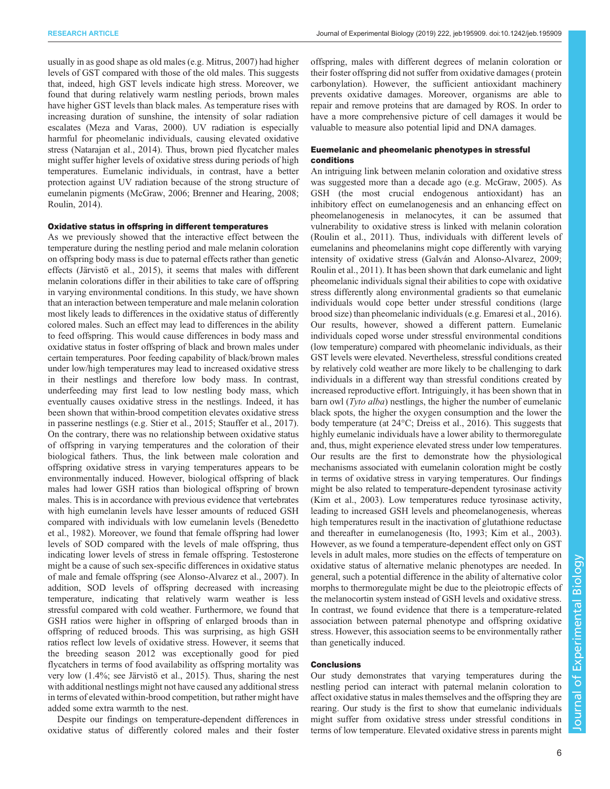usually in as good shape as old males (e.g. [Mitrus, 2007](#page-6-0)) had higher levels of GST compared with those of the old males. This suggests that, indeed, high GST levels indicate high stress. Moreover, we found that during relatively warm nestling periods, brown males have higher GST levels than black males. As temperature rises with increasing duration of sunshine, the intensity of solar radiation escalates [\(Meza and Varas, 2000\)](#page-6-0). UV radiation is especially harmful for pheomelanic individuals, causing elevated oxidative stress ([Natarajan et al., 2014\)](#page-6-0). Thus, brown pied flycatcher males might suffer higher levels of oxidative stress during periods of high temperatures. Eumelanic individuals, in contrast, have a better protection against UV radiation because of the strong structure of eumelanin pigments ([McGraw, 2006; Brenner and Hearing, 2008](#page-6-0); [Roulin, 2014\)](#page-6-0).

#### Oxidative status in offspring in different temperatures

As we previously showed that the interactive effect between the temperature during the nestling period and male melanin coloration on offspring body mass is due to paternal effects rather than genetic effects ([Järvistö et al., 2015](#page-6-0)), it seems that males with different melanin colorations differ in their abilities to take care of offspring in varying environmental conditions. In this study, we have shown that an interaction between temperature and male melanin coloration most likely leads to differences in the oxidative status of differently colored males. Such an effect may lead to differences in the ability to feed offspring. This would cause differences in body mass and oxidative status in foster offspring of black and brown males under certain temperatures. Poor feeding capability of black/brown males under low/high temperatures may lead to increased oxidative stress in their nestlings and therefore low body mass. In contrast, underfeeding may first lead to low nestling body mass, which eventually causes oxidative stress in the nestlings. Indeed, it has been shown that within-brood competition elevates oxidative stress in passerine nestlings (e.g. [Stier et al., 2015; Stauffer et al., 2017\)](#page-7-0). On the contrary, there was no relationship between oxidative status of offspring in varying temperatures and the coloration of their biological fathers. Thus, the link between male coloration and offspring oxidative stress in varying temperatures appears to be environmentally induced. However, biological offspring of black males had lower GSH ratios than biological offspring of brown males. This is in accordance with previous evidence that vertebrates with high eumelanin levels have lesser amounts of reduced GSH compared with individuals with low eumelanin levels ([Benedetto](#page-6-0) [et al., 1982](#page-6-0)). Moreover, we found that female offspring had lower levels of SOD compared with the levels of male offspring, thus indicating lower levels of stress in female offspring. Testosterone might be a cause of such sex-specific differences in oxidative status of male and female offspring (see [Alonso-Alvarez et al., 2007](#page-6-0)). In addition, SOD levels of offspring decreased with increasing temperature, indicating that relatively warm weather is less stressful compared with cold weather. Furthermore, we found that GSH ratios were higher in offspring of enlarged broods than in offspring of reduced broods. This was surprising, as high GSH ratios reflect low levels of oxidative stress. However, it seems that the breeding season 2012 was exceptionally good for pied flycatchers in terms of food availability as offspring mortality was very low (1.4%; see [Järvistö et al., 2015\)](#page-6-0). Thus, sharing the nest with additional nestlings might not have caused any additional stress in terms of elevated within-brood competition, but rather might have added some extra warmth to the nest.

Despite our findings on temperature-dependent differences in oxidative status of differently colored males and their foster offspring, males with different degrees of melanin coloration or their foster offspring did not suffer from oxidative damages ( protein carbonylation). However, the sufficient antioxidant machinery prevents oxidative damages. Moreover, organisms are able to repair and remove proteins that are damaged by ROS. In order to have a more comprehensive picture of cell damages it would be valuable to measure also potential lipid and DNA damages.

# Euemelanic and pheomelanic phenotypes in stressful conditions

An intriguing link between melanin coloration and oxidative stress was suggested more than a decade ago (e.g. [McGraw, 2005\)](#page-6-0). As GSH (the most crucial endogenous antioxidant) has an inhibitory effect on eumelanogenesis and an enhancing effect on pheomelanogenesis in melanocytes, it can be assumed that vulnerability to oxidative stress is linked with melanin coloration [\(Roulin et al., 2011\)](#page-7-0). Thus, individuals with different levels of eumelanins and pheomelanins might cope differently with varying intensity of oxidative stress ([Galván and Alonso-Alvarez, 2009](#page-6-0); [Roulin et al., 2011\)](#page-7-0). It has been shown that dark eumelanic and light pheomelanic individuals signal their abilities to cope with oxidative stress differently along environmental gradients so that eumelanic individuals would cope better under stressful conditions (large brood size) than pheomelanic individuals (e.g. [Emaresi et al., 2016\)](#page-6-0). Our results, however, showed a different pattern. Eumelanic individuals coped worse under stressful environmental conditions (low temperature) compared with pheomelanic individuals, as their GST levels were elevated. Nevertheless, stressful conditions created by relatively cold weather are more likely to be challenging to dark individuals in a different way than stressful conditions created by increased reproductive effort. Intriguingly, it has been shown that in barn owl (Tyto alba) nestlings, the higher the number of eumelanic black spots, the higher the oxygen consumption and the lower the body temperature (at 24°C; [Dreiss et al., 2016\)](#page-6-0). This suggests that highly eumelanic individuals have a lower ability to thermoregulate and, thus, might experience elevated stress under low temperatures. Our results are the first to demonstrate how the physiological mechanisms associated with eumelanin coloration might be costly in terms of oxidative stress in varying temperatures. Our findings might be also related to temperature-dependent tyrosinase activity [\(Kim et al., 2003\)](#page-6-0). Low temperatures reduce tyrosinase activity, leading to increased GSH levels and pheomelanogenesis, whereas high temperatures result in the inactivation of glutathione reductase and thereafter in eumelanogenesis [\(Ito, 1993; Kim et al., 2003\)](#page-6-0). However, as we found a temperature-dependent effect only on GST levels in adult males, more studies on the effects of temperature on oxidative status of alternative melanic phenotypes are needed. In general, such a potential difference in the ability of alternative color morphs to thermoregulate might be due to the pleiotropic effects of the melanocortin system instead of GSH levels and oxidative stress. In contrast, we found evidence that there is a temperature-related association between paternal phenotype and offspring oxidative stress. However, this association seems to be environmentally rather than genetically induced.

# **Conclusions**

Our study demonstrates that varying temperatures during the nestling period can interact with paternal melanin coloration to affect oxidative status in males themselves and the offspring they are rearing. Our study is the first to show that eumelanic individuals might suffer from oxidative stress under stressful conditions in terms of low temperature. Elevated oxidative stress in parents might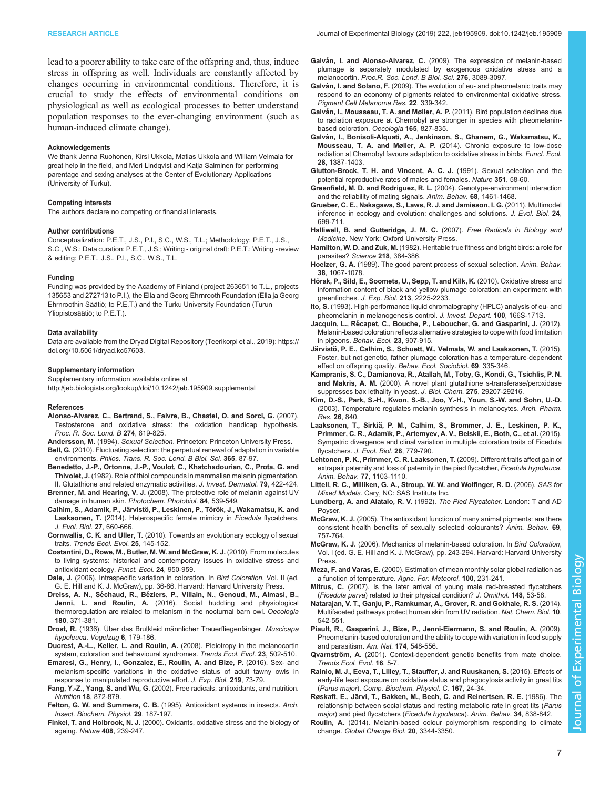<span id="page-6-0"></span>lead to a poorer ability to take care of the offspring and, thus, induce stress in offspring as well. Individuals are constantly affected by changes occurring in environmental conditions. Therefore, it is crucial to study the effects of environmental conditions on physiological as well as ecological processes to better understand population responses to the ever-changing environment (such as human-induced climate change).

#### Acknowledgements

We thank Jenna Ruohonen, Kirsi Ukkola, Matias Ukkola and William Velmala for great help in the field, and Meri Lindqvist and Katja Salminen for performing parentage and sexing analyses at the Center of Evolutionary Applications (University of Turku).

#### Competing interests

The authors declare no competing or financial interests.

#### Author contributions

Conceptualization: P.E.T., J.S., P.I., S.C., W.S., T.L.; Methodology: P.E.T., J.S., S.C., W.S.; Data curation: P.E.T., J.S.; Writing - original draft: P.E.T.; Writing - review & editing: P.E.T., J.S., P.I., S.C., W.S., T.L.

#### Funding

Funding was provided by the Academy of Finland (project 263651 to T.L., projects 135653 and 272713 to P.I.), the Ella and Georg Ehrnrooth Foundation (Ella ja Georg Ehrnroothin Säätiö; to P.E.T.) and the Turku University Foundation (Turun Yliopistosäätiö; to P.E.T.).

#### Data availability

Data are available from the Dryad Digital Repository [\(Teerikorpi et al., 2019\)](#page-7-0): [https://](https://doi.org/10.5061/dryad.kc57603) [doi.org/10.5061/dryad.kc57603.](https://doi.org/10.5061/dryad.kc57603)

#### Supplementary information

Supplementary information available online at <http://jeb.biologists.org/lookup/doi/10.1242/jeb.195909.supplemental>

#### References

[Alonso-Alvarez, C., Bertrand, S., Faivre, B., Chastel, O. and Sorci, G.](https://doi.org/10.1098/rspb.2006.3764) (2007). [Testosterone and oxidative stress: the oxidation handicap hypothesis.](https://doi.org/10.1098/rspb.2006.3764) [Proc. R. Soc. Lond. B](https://doi.org/10.1098/rspb.2006.3764) 274, 819-825.

Andersson, M. (1994). Sexual Selection. Princeton: Princeton University Press. Bell, G. [\(2010\). Fluctuating selection: the perpetual renewal of adaptation in variable](https://doi.org/10.1098/rstb.2009.0150)

- environments. [Philos. Trans. R. Soc. Lond. B Biol. Sci.](https://doi.org/10.1098/rstb.2009.0150) 365, 87-97. [Benedetto, J.-P., Ortonne, J.-P., Voulot, C., Khatchadourian, C., Prota, G. and](https://doi.org/10.1111/1523-1747.ep12530631)
- Thivolet, J. [\(1982\). Role of thiol compounds in mammalian melanin pigmentation.](https://doi.org/10.1111/1523-1747.ep12530631) [II. Glutathione and related enzymatic activities.](https://doi.org/10.1111/1523-1747.ep12530631) J. Invest. Dermatol. 79, 422-424.
- Brenner, M. and Hearing, V. J. [\(2008\). The protective role of melanin against UV](https://doi.org/10.1111/j.1751-1097.2007.00226.x) [damage in human skin.](https://doi.org/10.1111/j.1751-1097.2007.00226.x) Photochem. Photobiol. 84, 539-549.
- Calhim, S., Adamík, P., Järvistö, P., Leskinen, P., Törö[k, J., Wakamatsu, K. and](https://doi.org/10.1111/jeb.12328) Laaksonen, T. [\(2014\). Heterospecific female mimicry in](https://doi.org/10.1111/jeb.12328) Ficedula flycatchers. [J. Evol. Biol.](https://doi.org/10.1111/jeb.12328) 27, 660-666.
- Cornwallis, C. K. and Uller, T. [\(2010\). Towards an evolutionary ecology of sexual](https://doi.org/10.1016/j.tree.2009.09.008) traits. [Trends Ecol. Evol.](https://doi.org/10.1016/j.tree.2009.09.008) 25, 145-152.
- [Costantini, D., Rowe, M., Butler, M. W. and McGraw, K. J.](https://doi.org/10.1111/j.1365-2435.2010.01746.x) (2010). From molecules [to living systems: historical and contemporary issues in oxidative stress and](https://doi.org/10.1111/j.1365-2435.2010.01746.x) [antioxidant ecology.](https://doi.org/10.1111/j.1365-2435.2010.01746.x) Funct. Ecol. 24, 950-959.
- Dale, J. (2006). Intraspecific variation in coloration. In Bird Coloration, Vol. II (ed. G. E. Hill and K. J. McGraw), pp. 36-86. Harvard: Harvard University Press.
- Dreiss, A. N., Séchaud, R., Bé[ziers, P., Villain, N., Genoud, M., Almasi, B.,](https://doi.org/10.1007/s00442-015-3491-3) Jenni, L. and Roulin, A. [\(2016\). Social huddling and physiological](https://doi.org/10.1007/s00442-015-3491-3) [thermoregulation are related to melanism in the nocturnal barn owl.](https://doi.org/10.1007/s00442-015-3491-3) Oecologia 180[, 371-381.](https://doi.org/10.1007/s00442-015-3491-3)
- Drost, R. (1936). Über das Brutkleid männlicher Trauerfliegenfänger, Muscicapa hypoleuca. Vogelzug 6, 179-186.
- [Ducrest, A.-L., Keller, L. and Roulin, A.](https://doi.org/10.1016/j.tree.2008.06.001) (2008). Pleiotropy in the melanocortin [system, coloration and behavioural syndromes.](https://doi.org/10.1016/j.tree.2008.06.001) Trends Ecol. Evol. 23, 502-510.
- [Emaresi, G., Henry, I., Gonzalez, E., Roulin, A. and Bize, P.](https://doi.org/10.1242/jeb.128959) (2016). Sex- and [melanism-specific variations in the oxidative status of adult tawny owls in](https://doi.org/10.1242/jeb.128959) [response to manipulated reproductive effort.](https://doi.org/10.1242/jeb.128959) J. Exp. Biol. 219, 73-79.
- Fang, Y.-Z., Yang, S. and Wu, G. [\(2002\). Free radicals, antioxidants, and nutrition.](https://doi.org/10.1016/S0899-9007(02)00916-4) Nutrition 18[, 872-879.](https://doi.org/10.1016/S0899-9007(02)00916-4)
- Felton, G. W. and Summers, C. B. [\(1995\). Antioxidant systems in insects.](https://doi.org/10.1002/arch.940290208) Arch. [Insect. Biochem. Physiol.](https://doi.org/10.1002/arch.940290208) 29, 187-197.
- Finkel, T. and Holbrook, N. J. [\(2000\). Oxidants, oxidative stress and the biology of](https://doi.org/10.1038/35041687) ageing. Nature 408[, 239-247.](https://doi.org/10.1038/35041687)
- Galván, I. and Alonso-Alvarez, C. [\(2009\). The expression of melanin-based](https://doi.org/10.1098/rspb.2009.0774) [plumage is separately modulated by exogenous oxidative stress and a](https://doi.org/10.1098/rspb.2009.0774) melanocortin. [Proc.R. Soc. Lond. B Biol. Sci.](https://doi.org/10.1098/rspb.2009.0774) 276, 3089-3097.
- Galván, I. and Solano, F. [\(2009\). The evolution of eu- and pheomelanic traits may](https://doi.org/10.1111/j.1755-148X.2009.00559.x) [respond to an economy of pigments related to environmental oxidative stress.](https://doi.org/10.1111/j.1755-148X.2009.00559.x) [Pigment Cell Melanoma Res.](https://doi.org/10.1111/j.1755-148X.2009.00559.x) 22, 339-342.
- Galvá[n, I., Mousseau, T. A. and Møller, A. P.](https://doi.org/10.1007/s00442-010-1860-5) (2011). Bird population declines due [to radiation exposure at Chernobyl are stronger in species with pheomelanin](https://doi.org/10.1007/s00442-010-1860-5)[based coloration.](https://doi.org/10.1007/s00442-010-1860-5) Oecologia 165, 827-835.
- Galvá[n, I., Bonisoli-Alquati, A., Jenkinson, S., Ghanem, G., Wakamatsu, K.,](https://doi.org/10.1111/1365-2435.12283) Mousseau, T. A. and Møller, A. P. [\(2014\). Chronic exposure to low-dose](https://doi.org/10.1111/1365-2435.12283) [radiation at Chernobyl favours adaptation to oxidative stress in birds.](https://doi.org/10.1111/1365-2435.12283) Funct. Ecol. 28[, 1387-1403.](https://doi.org/10.1111/1365-2435.12283)
- [Glutton-Brock, T. H. and Vincent, A. C. J.](https://doi.org/10.1038/351058a0) (1991). Sexual selection and the [potential reproductive rates of males and females.](https://doi.org/10.1038/351058a0) Nature 351, 58-60.
- Greenfield, M. D. and Rodriguez, R. L. [\(2004\). Genotype-environment interaction](https://doi.org/10.1016/j.anbehav.2004.01.014) [and the reliability of mating signals.](https://doi.org/10.1016/j.anbehav.2004.01.014) Anim. Behav. 68, 1461-1468.
- [Grueber, C. E., Nakagawa, S., Laws, R. J. and Jamieson, I. G.](https://doi.org/10.1111/j.1420-9101.2010.02210.x) (2011). Multimodel [inference in ecology and evolution: challenges and solutions.](https://doi.org/10.1111/j.1420-9101.2010.02210.x) J. Evol. Biol. 24, [699-711.](https://doi.org/10.1111/j.1420-9101.2010.02210.x)
- Halliwell, B. and Gutteridge, J. M. C. (2007). Free Radicals in Biology and Medicine. New York: Oxford University Press.
- Hamilton, W. D. and Zuk, M. [\(1982\). Heritable true fitness and bright birds: a role for](https://doi.org/10.1126/science.7123238) [parasites?](https://doi.org/10.1126/science.7123238) Science 218, 384-386.
- Hoelzer, G. A. [\(1989\). The good parent process of sexual selection.](https://doi.org/10.1016/S0003-3472(89)80146-0) Anim. Behav. 38[, 1067-1078.](https://doi.org/10.1016/S0003-3472(89)80146-0)
- [Hõrak, P., Sild, E., Soomets, U., Sepp, T. and Kilk, K.](https://doi.org/10.1242/jeb.042085) (2010). Oxidative stress and [information content of black and yellow plumage coloration: an experiment with](https://doi.org/10.1242/jeb.042085) [greenfinches.](https://doi.org/10.1242/jeb.042085) J. Exp. Biol. 213, 2225-2233.
- Ito, S. [\(1993\). High-performance liquid chromatography \(HPLC\) analysis of eu- and](https://doi.org/10.1038/jid.1993.8) [pheomelanin in melanogenesis control.](https://doi.org/10.1038/jid.1993.8) J. Invest. Depart. 100, 166S-171S.
- Jacquin, L., Ré[capet, C., Bouche, P., Leboucher, G. and Gasparini, J.](https://doi.org/10.1093/beheco/ars055) (2012). [Melanin-based coloration reflects alternative strategies to cope with food limitation](https://doi.org/10.1093/beheco/ars055) in pigeons. [Behav. Ecol.](https://doi.org/10.1093/beheco/ars055) 23, 907-915.
- Järvistö[, P. E., Calhim, S., Schuett, W., Velmala, W. and Laaksonen, T.](https://doi.org/10.1007/s00265-014-1846-0) (2015). [Foster, but not genetic, father plumage coloration has a temperature-dependent](https://doi.org/10.1007/s00265-014-1846-0) [effect on offspring quality.](https://doi.org/10.1007/s00265-014-1846-0) Behav. Ecol. Sociobiol. 69, 335-346.
- [Kampranis, S. C., Damianova, R., Atallah, M., Toby, G., Kondi, G., Tsichlis, P. N.](https://doi.org/10.1074/jbc.M002359200) and Makris, A. M. [\(2000\). A novel plant glutathione s-transferase/peroxidase](https://doi.org/10.1074/jbc.M002359200) [suppresses bax lethality in yeast.](https://doi.org/10.1074/jbc.M002359200) J. Biol. Chem. 275, 29207-29216.
- [Kim, D.-S., Park, S.-H., Kwon, S.-B., Joo, Y.-H., Youn, S.-W. and Sohn, U.-D.](https://doi.org/10.1007/BF02980030) [\(2003\). Temperature regulates melanin synthesis in melanocytes.](https://doi.org/10.1007/BF02980030) Arch. Pharm. Res. 26[, 840.](https://doi.org/10.1007/BF02980030)
- Laaksonen, T., Sirkiä[, P. M., Calhim, S., Brommer, J. E., Leskinen, P. K.,](https://doi.org/10.1111/jeb.12604) Primmer, C. R., Adamí[k, P., Artemyev, A. V., Belskii, E., Both, C., et al.](https://doi.org/10.1111/jeb.12604) (2015). [Sympatric divergence and clinal variation in multiple coloration traits of Ficedula](https://doi.org/10.1111/jeb.12604) flycatchers. [J. Evol. Biol.](https://doi.org/10.1111/jeb.12604) 28, 779-790.
- [Lehtonen, P. K., Primmer, C. R. Laaksonen, T.](https://doi.org/10.1016/j.anbehav.2009.01.014) (2009). Different traits affect gain of [extrapair paternity and loss of paternity in the pied flycatcher,](https://doi.org/10.1016/j.anbehav.2009.01.014) Ficedula hypoleuca. [Anim. Behav.](https://doi.org/10.1016/j.anbehav.2009.01.014) 77, 1103-1110.
- Littell, R. C., Milliken, G. A., Stroup, W. W. and Wolfinger, R. D. (2006). SAS for Mixed Models. Cary, NC: SAS Institute Inc.
- Lundberg, A. and Alatalo, R. V. (1992). The Pied Flycatcher. London: T and AD Poyser.
- McGraw, K. J. [\(2005\). The antioxidant function of many animal pigments: are there](https://doi.org/10.1016/j.anbehav.2004.06.022) [consistent health benefits of sexually selected colourants?](https://doi.org/10.1016/j.anbehav.2004.06.022) Anim. Behav. 69, [757-764.](https://doi.org/10.1016/j.anbehav.2004.06.022)
- McGraw, K. J. (2006). Mechanics of melanin-based coloration. In Bird Coloration, Vol. I (ed. G. E. Hill and K. J. McGraw), pp. 243-294. Harvard: Harvard University Press.
- Meza, F. and Varas, E. [\(2000\). Estimation of mean monthly solar global radiation as](https://doi.org/10.1016/S0168-1923(99)00090-8) [a function of temperature.](https://doi.org/10.1016/S0168-1923(99)00090-8) Agric. For. Meteorol. 100, 231-241.
- Mitrus, C. [\(2007\). Is the later arrival of young male red-breasted flycatchers](https://doi.org/10.1007/s10336-006-0099-8) (Ficedula parva[\) related to their physical condition?](https://doi.org/10.1007/s10336-006-0099-8) J. Ornithol. 148, 53-58.
- [Natarajan, V. T., Ganju, P., Ramkumar, A., Grover, R. and Gokhale, R. S.](https://doi.org/10.1038/nchembio.1548) (2014). [Multifaceted pathways protect human skin from UV radiation.](https://doi.org/10.1038/nchembio.1548) Nat. Chem. Biol. 10, [542-551.](https://doi.org/10.1038/nchembio.1548)
- [Piault, R., Gasparini, J., Bize, P., Jenni-Eiermann, S. and Roulin, A.](https://doi.org/10.1086/605374) (2009). [Pheomelanin-based coloration and the ability to cope with variation in food supply](https://doi.org/10.1086/605374) [and parasitism.](https://doi.org/10.1086/605374) Am. Nat. 174, 548-556.
- Qvarnström, A. [\(2001\). Context-dependent genetic benefits from mate choice.](https://doi.org/10.1016/S0169-5347(00)02030-9) [Trends Ecol. Evol.](https://doi.org/10.1016/S0169-5347(00)02030-9) 16, 5-7.
- [Rainio, M. J., Eeva, T., Lilley, T., Stauffer, J. and Ruuskanen, S.](https://doi.org/10.1016/j.cbpc.2014.08.004) (2015). Effects of [early-life lead exposure on oxidative status and phagocytosis activity in great tits](https://doi.org/10.1016/j.cbpc.2014.08.004) (Parus major). [Comp. Biochem. Physiol. C.](https://doi.org/10.1016/j.cbpc.2014.08.004) 167, 24-34.
- Røskaft, E., Jä[rvi, T., Bakken, M., Bech, C. and Reinertsen, R. E.](https://doi.org/10.1016/S0003-3472(86)80069-0) (1986). The [relationship between social status and resting metabolic rate in great tits \(](https://doi.org/10.1016/S0003-3472(86)80069-0)Parus major[\) and pied flycatchers \(](https://doi.org/10.1016/S0003-3472(86)80069-0)Ficedula hypoleuca). Anim. Behav. 34, 838-842.
- Roulin, A. [\(2014\). Melanin-based colour polymorphism responding to climate](https://doi.org/10.1111/gcb.12594) change. [Global Change Biol.](https://doi.org/10.1111/gcb.12594) 20, 3344-3350.